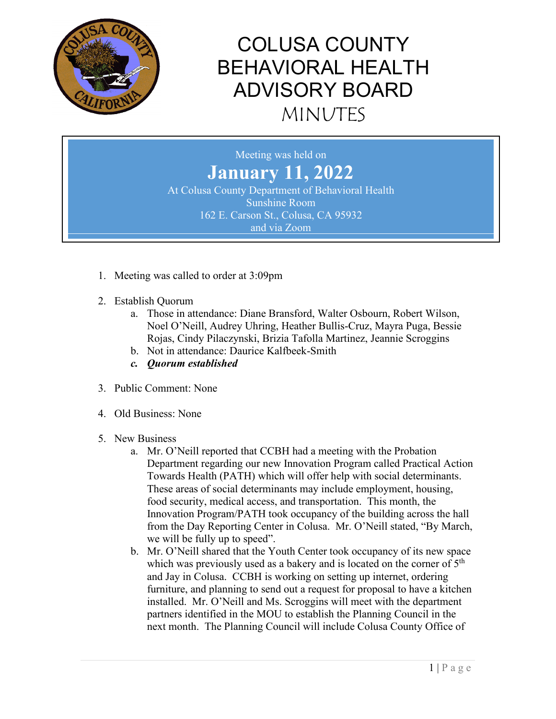

Meeting was held on **January 11, 2022** At Colusa County Department of Behavioral Health Sunshine Room 162 E. Carson St., Colusa, CA 95932

and via Zoom

- 1. Meeting was called to order at 3:09pm
- 2. Establish Quorum
	- a. Those in attendance: Diane Bransford, Walter Osbourn, Robert Wilson, Noel O'Neill, Audrey Uhring, Heather Bullis-Cruz, Mayra Puga, Bessie Rojas, Cindy Pilaczynski, Brizia Tafolla Martinez, Jeannie Scroggins
	- b. Not in attendance: Daurice Kalfbeek-Smith
	- *c. Quorum established*
- 3. Public Comment: None
- 4. Old Business: None
- 5. New Business
	- a. Mr. O'Neill reported that CCBH had a meeting with the Probation Department regarding our new Innovation Program called Practical Action Towards Health (PATH) which will offer help with social determinants. These areas of social determinants may include employment, housing, food security, medical access, and transportation. This month, the Innovation Program/PATH took occupancy of the building across the hall from the Day Reporting Center in Colusa. Mr. O'Neill stated, "By March, we will be fully up to speed".
	- b. Mr. O'Neill shared that the Youth Center took occupancy of its new space which was previously used as a bakery and is located on the corner of 5<sup>th</sup> and Jay in Colusa. CCBH is working on setting up internet, ordering furniture, and planning to send out a request for proposal to have a kitchen installed. Mr. O'Neill and Ms. Scroggins will meet with the department partners identified in the MOU to establish the Planning Council in the next month. The Planning Council will include Colusa County Office of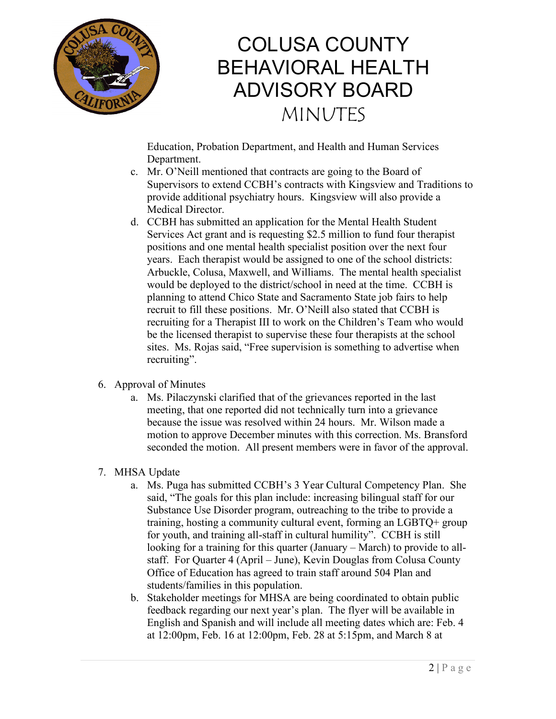

Education, Probation Department, and Health and Human Services Department.

- c. Mr. O'Neill mentioned that contracts are going to the Board of Supervisors to extend CCBH's contracts with Kingsview and Traditions to provide additional psychiatry hours. Kingsview will also provide a Medical Director.
- d. CCBH has submitted an application for the Mental Health Student Services Act grant and is requesting \$2.5 million to fund four therapist positions and one mental health specialist position over the next four years. Each therapist would be assigned to one of the school districts: Arbuckle, Colusa, Maxwell, and Williams. The mental health specialist would be deployed to the district/school in need at the time. CCBH is planning to attend Chico State and Sacramento State job fairs to help recruit to fill these positions. Mr. O'Neill also stated that CCBH is recruiting for a Therapist III to work on the Children's Team who would be the licensed therapist to supervise these four therapists at the school sites. Ms. Rojas said, "Free supervision is something to advertise when recruiting".
- 6. Approval of Minutes
	- a. Ms. Pilaczynski clarified that of the grievances reported in the last meeting, that one reported did not technically turn into a grievance because the issue was resolved within 24 hours. Mr. Wilson made a motion to approve December minutes with this correction. Ms. Bransford seconded the motion. All present members were in favor of the approval.
- 7. MHSA Update
	- a. Ms. Puga has submitted CCBH's 3 Year Cultural Competency Plan. She said, "The goals for this plan include: increasing bilingual staff for our Substance Use Disorder program, outreaching to the tribe to provide a training, hosting a community cultural event, forming an LGBTQ+ group for youth, and training all-staff in cultural humility". CCBH is still looking for a training for this quarter (January – March) to provide to allstaff. For Quarter 4 (April – June), Kevin Douglas from Colusa County Office of Education has agreed to train staff around 504 Plan and students/families in this population.
	- b. Stakeholder meetings for MHSA are being coordinated to obtain public feedback regarding our next year's plan. The flyer will be available in English and Spanish and will include all meeting dates which are: Feb. 4 at 12:00pm, Feb. 16 at 12:00pm, Feb. 28 at 5:15pm, and March 8 at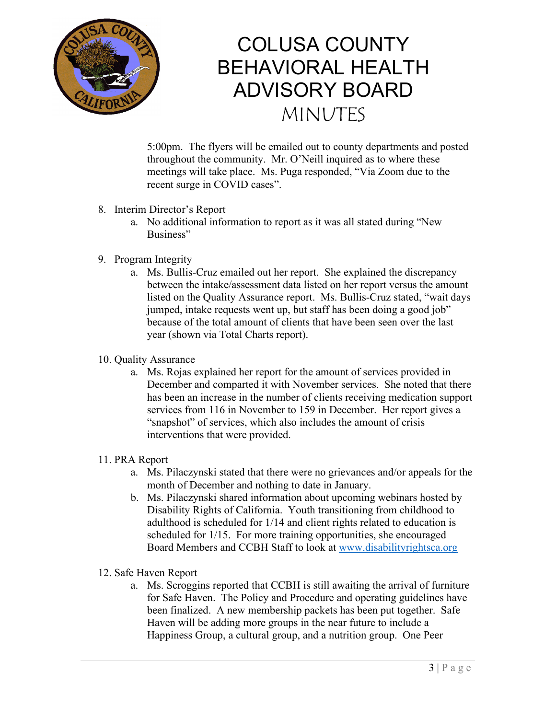

5:00pm. The flyers will be emailed out to county departments and posted throughout the community. Mr. O'Neill inquired as to where these meetings will take place. Ms. Puga responded, "Via Zoom due to the recent surge in COVID cases".

- 8. Interim Director's Report
	- a. No additional information to report as it was all stated during "New Business"
- 9. Program Integrity
	- a. Ms. Bullis-Cruz emailed out her report. She explained the discrepancy between the intake/assessment data listed on her report versus the amount listed on the Quality Assurance report. Ms. Bullis-Cruz stated, "wait days jumped, intake requests went up, but staff has been doing a good job" because of the total amount of clients that have been seen over the last year (shown via Total Charts report).
- 10. Quality Assurance
	- a. Ms. Rojas explained her report for the amount of services provided in December and comparted it with November services. She noted that there has been an increase in the number of clients receiving medication support services from 116 in November to 159 in December. Her report gives a "snapshot" of services, which also includes the amount of crisis interventions that were provided.
- 11. PRA Report
	- a. Ms. Pilaczynski stated that there were no grievances and/or appeals for the month of December and nothing to date in January.
	- b. Ms. Pilaczynski shared information about upcoming webinars hosted by Disability Rights of California. Youth transitioning from childhood to adulthood is scheduled for 1/14 and client rights related to education is scheduled for 1/15. For more training opportunities, she encouraged Board Members and CCBH Staff to look at [www.disabilityrightsca.org](http://www.disabilityrightsca.org/)
- 12. Safe Haven Report
	- a. Ms. Scroggins reported that CCBH is still awaiting the arrival of furniture for Safe Haven. The Policy and Procedure and operating guidelines have been finalized. A new membership packets has been put together. Safe Haven will be adding more groups in the near future to include a Happiness Group, a cultural group, and a nutrition group. One Peer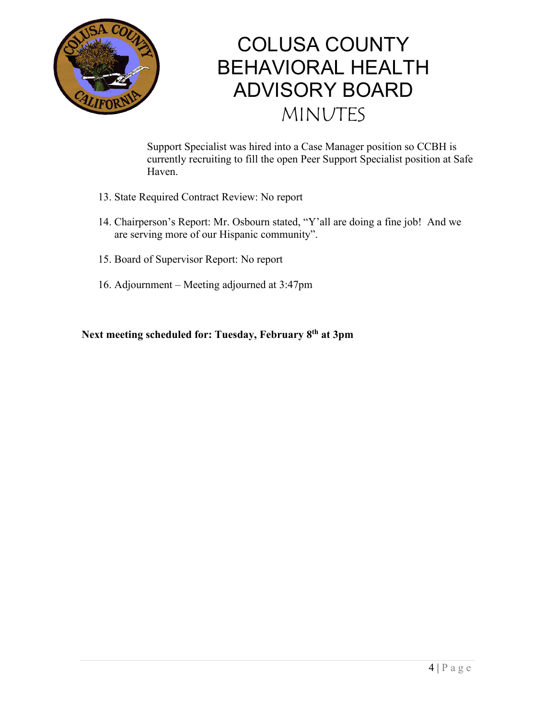

Support Specialist was hired into a Case Manager position so CCBH is currently recruiting to fill the open Peer Support Specialist position at Safe Haven.

- 13. State Required Contract Review: No report
- 14. Chairperson's Report: Mr. Osbourn stated, "Y'all are doing a fine job! And we are serving more of our Hispanic community".
- 15. Board of Supervisor Report: No report
- 16. Adjournment Meeting adjourned at 3:47pm

**Next meeting scheduled for: Tuesday, February 8th at 3pm**